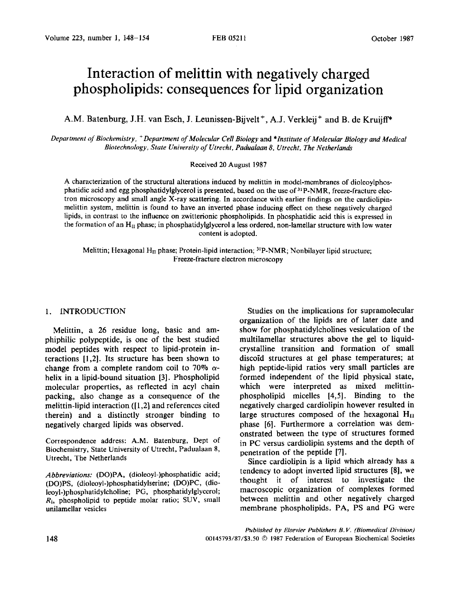# **Interaction of melittin with negatively charged phospholipids: consequences for lipid organization**

A.M. Batenburg, J.H. van Esch, J. Leunissen-Bijvelt<sup>+</sup>, A.J. Verkleij<sup>+</sup> and B. de Kruijff<sup>\*</sup>

*Department of Biochemistry, +Department of Molecular Cell Biology* and *\*Institute of Molecular Biology and Medical Biotechnology, State University of Utrecht, Padualaan 8, Utrecht, The Netherlands* 

#### Received 20 August 1987

A characterization of the structural alterations induced by melittin in model-membranes of dioleoylphosphatidic acid and egg phosphatidylglycerol is presented, based on the use of  $^{31}P\text{-NMR}$ , freeze-fracture electron microscopy and small angle X-ray scattering. In accordance with earlier findings on the cardiolipinmelittin system, melittin is found to have an inverted phase inducing effect on these negatively charged lipids, in contrast to the influence on zwitterionic phospholipids. In phosphatidic acid this is expressed in the formation of an  $H_{II}$  phase; in phosphatidylglycerol a less ordered, non-lamellar structure with low water content is adopted.

Melittin; Hexagonal H<sub>II</sub> phase; Protein-lipid interaction; <sup>31</sup>P-NMR; Nonbilayer lipid structure; Freeze-fracture electron microscopy

## 1. INTRODUCTION

Melittin, a 26 residue long, basic and amphiphilic polypeptide, is one of the best studied model peptides with respect to lipid-protein interactions [1,2]. Its structure has been shown to change from a complete random coil to 70%  $\alpha$ helix in a lipid-bound situation [3]. Phospholipid molecular properties, as reflected in acyl chain packing, also change as a consequence of the melittin-lipid interaction ([1,2] and references cited therein) and a distinctly stronger binding to negatively charged lipids was observed.

Correspondence address: A.M. Batenburg, Dept of Biochemistry, State University of Utrecht, Padualaan 8, Utrecht, The Netherlands

*Abbreviations:* (DO)PA, (dioleoyl-)phosphatidic acid; (DO)PS, (dioleoyl-)phosphatidylserine; (DO)PC, (dioieoyl-)phosphatidylcholine; PG, phosphatidylglycerol;  $R_i$ , phospholipid to peptide molar ratio; SUV, small unilamellar vesicles

Studies on the implications for supramolecular organization of the lipids are of later date and show for phosphatidylcholines vesiculation of the multilamellar structures above the gel to liquidcrystalline transition and formation of small discoid structures at gel phase temperatures; at high peptide-lipid ratios very small particles are formed independent of the lipid physical state, which were interpreted as mixed melittinphospholipid micelles [4,5]. Binding to the negatively charged cardiolipin however resulted in large structures composed of the hexagonal  $H_{II}$ phase [6]. Furthermore a correlation was demonstrated between the type of structures formed in PC versus cardiolipin systems and the depth of penetration of the peptide [7].

Since cardiolipin is a lipid which already has a tendency to adopt inverted lipid structures [8], we thought it of interest to investigate the macroscopic organization of complexes formed between melittin and other negatively charged membrane phospholipids. PA, PS and PG were

*Published by Elsevier Publishers B.V. (Biomedical Division)*  148 00145793/87/\$3.50 © 1987 Federation of European Biochemical Societies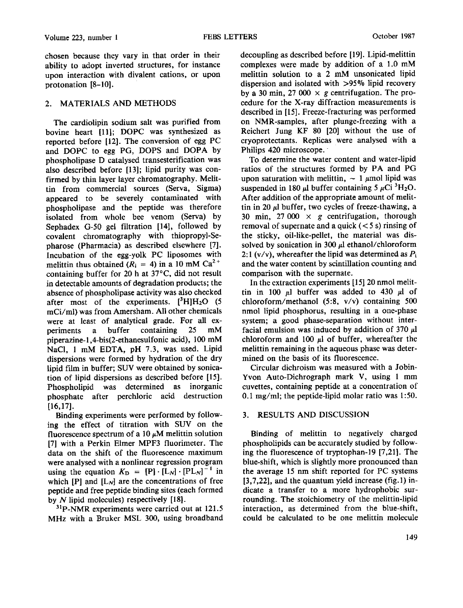chosen because they vary in that order in their ability to adopt inverted structures, for instance upon interaction with divalent cations, or upon protonation [8-10].

# 2. MATERIALS AND METHODS

The cardiolipin sodium salt was purified from bovine heart [11]; DOPC was synthesized as reported before [12]. The conversion of egg PC and DOPC to egg PG, DOPS and DOPA by phospholipase D catalysed transesterification was also described before [13]; lipid purity was confirmed by thin layer layer chromatography. Melittin from commercial sources (Serva, Sigma) appeared to be severely contaminated with phospholipase and the peptide was therefore isolated from whole bee venom (Serva) by Sephadex G-50 gel filtration [14], followed by covalent chromatography with thiopropyl-Sepharose (Pharmacia) as described elsewhere [7]. Incubation of the egg-yolk PC liposomes with melittin thus obtained ( $R_i = 4$ ) in a 10 mM Ca<sup>2+</sup> containing buffer for 20 h at 37°C, did not result in detectable amounts of degradation products; the absence of phospholipase activity was also checked after most of the experiments.  $[{}^{3}H]H_{2}O$  (5) mCi/ml) was from Amersham. All other chemicals were at least of analytical grade. For all experiments a buffer containing 25 mM piperazine-l,4-bis(2-ethanesulfonic acid), 100 mM NaCl, 1 mM EDTA, pH 7.3, was used. Lipid dispersions were formed by hydration of the dry lipid film in buffer; SUV were obtained by sonication of lipid dispersions as described before [15]. Phospholipid was determined as inorganic phosphate after perchloric acid destruction [16,17].

Binding experiments were performed by following the effect of titration with SUV on the fluorescence spectrum of a 10  $\mu$ M melittin solution [7] with a Perkin Elmer MPF3 fluorimeter. The data on the shift of the fluorescence maximum were analysed with a nonlinear regression program using the equation  $K_{D} = [P] \cdot [L_{N}] \cdot [PL_{N}]^{-1}$  in which  $[P]$  and  $[L_N]$  are the concentrations of free peptide and free peptide binding sites (each formed by  $N$  lipid molecules) respectively  $[18]$ .

<sup>31</sup>P-NMR experiments were carried out at 121.5 MHz with a Bruker MSL 300, using broadband decoupling as described before [19]. Lipid-melittin complexes were made by addition of a 1.0 mM melittin solution to a 2 mM unsonicated lipid dispersion and isolated with >95°70 lipid recovery by a 30 min, 27 000  $\times$  g centrifugation. The procedure for the X-ray diffraction measurements is described in [15]. Freeze-fracturing was performed on NMR-samples, after plunge-freezing with a Reichert Jung KF 80 [20] without the use of cryoprotectants. Replicas were analysed with a Philips 420 microscope.

To determine the water content and water-lipid ratios of the structures formed by PA and PG upon saturation with melittin,  $\sim 1 \mu$ mol lipid was suspended in 180  $\mu$ l buffer containing 5  $\mu$ Ci <sup>3</sup>H<sub>2</sub>O. After addition of the appropriate amount of melittin in 20  $\mu$ l buffer, two cycles of freeze-thawing, a 30 min, 27 000  $\times$  g centrifugation, thorough removal of supernate and a quick  $(< 5 s)$  rinsing of the sticky, oil-like-pellet, the material was dissolved by sonication in 300  $\mu$ l ethanol/chloroform 2:1 (v/v), whereafter the lipid was determined as  $P_i$ and the water content by scintillation counting and comparison with the supernate.

In the extraction experiments [15] 20 nmol melittin in 100  $\mu$ l buffer was added to 430  $\mu$ l of chloroform/methanol (5:8, v/v) containing 500 nmol lipid phosphorus, resulting in a one-phase system; a good phase-separation without interfacial emulsion was induced by addition of 370  $\mu$ l chloroform and 100  $\mu$ l of buffer, whereafter the melittin remaining in the aqueous phase was determined on the basis of its fluorescence.

Circular dichroism was measured with a Jobin-Yvon Auto-Dichrograph mark V, using 1 mm cuvettes, containing peptide at a concentration of 0.1 mg/ml; the peptide-lipid molar ratio was 1:50.

# 3. RESULTS AND DISCUSSION

Binding of melittin to negatively charged phospholipids can be accurately studied by following the fluorescence of tryptophan-19 [7,21]. The blue-shift, which is slightly more pronounced than the average 15 nm shift reported for PC systems [3,7,22], and the quantum yield increase (fig. 1) indicate a transfer to a more hydrophobic surrounding. The stoichiometry of the melittin-lipid interaction, as determined from the blue-shift, could be calculated to be one melittin molecule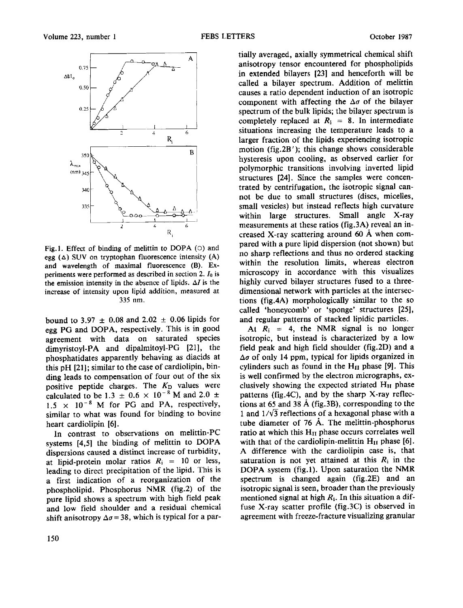

Fig.1. Effect of binding of melittin to DOPA (O) and egg  $(\Delta)$  SUV on tryptophan fluorescence intensity  $(A)$ and wavelength of maximal fluorescence (B). Experiments were performed as described in section 2. Io is the emission intensity in the absence of lipids.  $\Delta I$  is the increase of intensity upon lipid addition, measured at 335 nm.

bound to 3.97  $\pm$  0.08 and 2.02  $\pm$  0.06 lipids for egg PG and DOPA, respectively. This is in good agreement with data on saturated species dimyristoyl-PA and dipalmitoyl-PG [21], the phosphatidates apparently behaving as diacids at this pH [21]; similar to the case of cardiolipin, binding leads to compensation of four out of the six positive peptide charges. The  $K<sub>D</sub>$  values were calculated to be 1.3  $\pm$  0.6  $\times$  10<sup>-8</sup> M and 2.0  $\pm$ 1.5  $\times$  10<sup>-8</sup> M for PG and PA, respectively, similar to what was found for binding to bovine heart cardiolipin [6].

In contrast to observations on melittin-PC systems [4,5] the binding of melittin to DOPA dispersions caused a distinct increase of turbidity, at lipid-protein molar ratios  $R_i = 10$  or less, leading to direct precipitation of the lipid. This is a first indication of a reorganization of the phospholipid. Phosphorus NMR (fig.2) of the pure lipid shows a spectrum with high field peak and low field shoulder and a residual chemical shift anisotropy  $\Delta \sigma = 38$ , which is typical for a partially averaged, axially symmetrical chemical shift anisotropy tensor encountered for phospholipids in extended bilayers [23] and henceforth will be called a bilayer spectrum. Addition of melittin causes a ratio dependent induction of an isotropic component with affecting the  $\Delta\sigma$  of the bilayer spectrum of the bulk lipids; the bilayer spectrum is completely replaced at  $R_i = 8$ . In intermediate situations increasing the temperature leads to a larger fraction of the lipids experiencing isotropic motion (fig.2B'); this change shows considerable hysteresis upon cooling, as observed earlier for polymorphic transitions involving inverted lipid structures [24]. Since the samples were concentrated by centrifugation, the isotropic signal cannot be due to small structures (discs, micelles, small vesicles) but instead reflects high curvature within large structures. Small angle X-ray measurements at these ratios (fig.3A) reveal an increased X-ray scattering around 60  $\AA$  when compared with a pure lipid dispersion (not shown) but no sharp reflections and thus no ordered stacking within the resolution limits, whereas electron microscopy in accordance with this visualizes highly curved bilayer structures fused to a threedimensional network with particles at the intersections (fig.4A) morphologically similar to the so called 'honeycomb' or 'sponge' structures [25], and regular patterns of stacked lipidic particles.

At  $R_i = 4$ , the NMR signal is no longer isotropic, but instead is characterized by a low field peak and high field shoulder (fig.2D) and a  $\Delta\sigma$  of only 14 ppm, typical for lipids organized in cylinders such as found in the  $H<sub>II</sub>$  phase [9]. This is well confirmed by the electron micrographs, exclusively showing the expected striated  $H<sub>H</sub>$  phase patterns (fig.4C), and by the sharp X-ray reflections at 65 and 38 A (fig.3B), corresponding to the 1 and  $1/\sqrt{3}$  reflections of a hexagonal phase with a tube diameter of 76 A. The melittin-phosphorus ratio at which this  $H<sub>II</sub>$  phase occurs correlates well with that of the cardiolipin-melittin  $H<sub>H</sub>$  phase [6]. A difference with the cardiolipin case is, that saturation is not yet attained at this  $R_i$  in the DOPA system (fig.l). Upon saturation the NMR spectrum is changed again (fig.2E) and an isotropic signal is seen, broader than the previously mentioned signal at high  $R_i$ . In this situation a diffuse X-ray scatter profile (fig.3C) is observed in agreement with freeze-fracture visualizing granular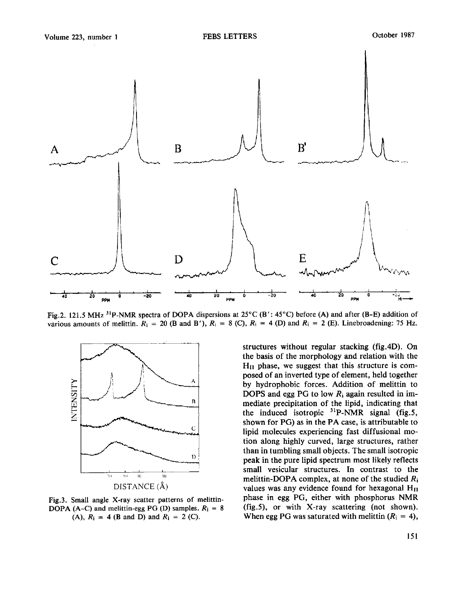

Fig.2. 121.5 MHz <sup>31</sup>P-NMR spectra of DOPA dispersions at 25°C (B': 45°C) before (A) and after (B–E) addition of various amounts of melittin.  $R_i = 20$  (B and B'),  $R_i = 8$  (C),  $R_i = 4$  (D) and  $R_i = 2$  (E). Linebroadening: 75 Hz.



Fig.3. Small angle X-ray scatter patterns of melittin-DOPA (A-C) and melittin-egg PG (D) samples.  $R_i = 8$ (A),  $R_i = 4$  (B and D) and  $R_i = 2$  (C).

structures without regular stacking (fig.4D). On the basis of the morphology and relation with the  $H<sub>H</sub>$  phase, we suggest that this structure is composed of an inverted type of element, held together by hydrophobic forces. Addition of melittin to DOPS and egg PG to low  $R_i$  again resulted in immediate precipitation of the lipid, indicating that the induced isotropic  $31P-NMR$  signal (fig.5, shown for PG) as in the PA case, is attributable to lipid molecules experiencing fast diffusional motion along highly curved, large structures, rather than in tumbling small objects. The small isotropic peak in the pure lipid spectrum most likely reflects small vesicular structures. In contrast to the melittin-DOPA complex, at none of the studied  $R_i$ values was any evidence found for hexagonal  $H<sub>II</sub>$ phase in egg PG, either with phosphorus NMR (fig.5), or with X-ray scattering (not shown). When egg PG was saturated with melittin  $(R<sub>i</sub> = 4)$ ,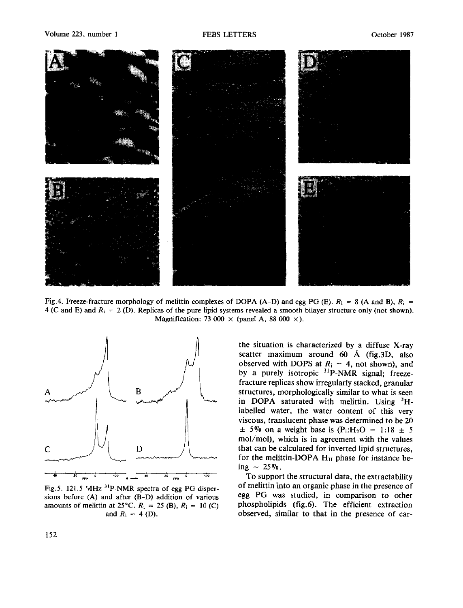#### Volume 223, number 1 **FEBS LETTERS** Colober 1987



Fig.4. Freeze-fracture morphology of melittin complexes of DOPA (A-D) and egg PG (E).  $R_i = 8$  (A and B),  $R_i =$ 4 (C and E) and  $R_i = 2$  (D). Replicas of the pure lipid systems revealed a smooth bilayer structure only (not shown). Magnification: 73 000  $\times$  (panel A, 88 000  $\times$ ).



Fig.5. 121.5 MHz 31p-NMR spectra of egg PG dispersions before (A) and after (B-D) addition of various amounts of melittin at 25°C.  $R_i = 25$  (B),  $R_i = 10$  (C) and  $R_i = 4$  (D).

the situation is characterized by a diffuse X-ray scatter maximum around  $60$  Å (fig.3D, also observed with DOPS at  $R_i = 4$ , not shown), and by a purely isotropic  $3^{1}P\text{-}NMR$  signal; freezefracture replicas show irregularly stacked, granular structures, morphologically similar to what is seen in DOPA saturated with melittin. Using  ${}^{3}H$ labelled water, the water content of this very viscous, translucent phase was determined to be 20  $\pm$  5% on a weight base is (P<sub>i</sub>:H<sub>2</sub>O = 1:18  $\pm$  5 mol/mol), which is in agreement with the values that can be calculated for inverted lipid structures, for the melittin-DOPA  $H<sub>II</sub>$  phase for instance being  $\sim 25\%$ .

To support the structural data, the extractability of melittin into an organic phase in the presence of egg PG was studied, in comparison to other phospholipids (fig.6). The efficient extraction observed, similar to that in the presence of car-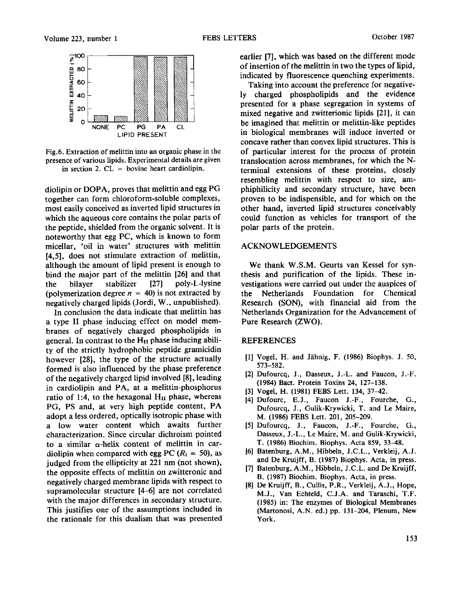

Fig.6. Extraction of melittin into an organic phase in the presence of various lipids. Experimental details are given in section 2.  $CL =$  bovine heart cardiolipin.

diolipin or DOPA, proves that melittin and egg PG together can form chloroform-soluble complexes, most easily conceived as inverted lipid structures in which the aqueous core contains the polar parts of the peptide, shielded from the organic solvent. It is noteworthy that egg PC, which is known to form micellar, 'oil in water' structures with melittin [4,5], does not stimulate extraction of melittin, although the amount of lipid present is enough to bind the major part of the melittin [26] and that the bilayer stabilizer [27] poly-L-lysine (polymerization degree  $n = 40$ ) is not extracted by negatively charged lipids (Jordi, W., unpublished).

In conclusion the data indicate that melittin has a type II phase inducing effect on model membranes of negatively charged phospholipids in general. In contrast to the  $H<sub>H</sub>$  phase inducing ability of the strictly hydrophobic peptide gramicidin however [28|, the type of the structure actually formed is also influenced by the phase preference of the negatively charged lipid involved [8], leading in cardiolipin and PA, at a melittin-phosphorus ratio of 1:4, to the hexagonal  $H<sub>H</sub>$  phase, whereas PG, PS and, at very high peptide content, PA adopt a less ordered, optically isotropic phase with a low water content which awaits further characterization. Since circular dichroism pointed to a similar  $\alpha$ -helix content of melittin in cardiolipin when compared with egg PC ( $R_i = 50$ ), as judged from the ellipticity at 221 nm (not shown), the opposite effects of melittin on zwitteronic and negatively charged membrane lipids with respect to supramolecular structure [4-6] are not correlated with the major differences in secondary structure. This justifies one of the assumptions included in the rationale for this dualism that was presented earlier [7], which was based on the different mode of insertion of the melittin in two the types of lipid, indicated by fluorescence quenching experiments.

Taking into account the preference for negatively charged phospholipids and the evidence presented for a phase segregation in systems of mixed negative and zwitterionic lipids [21], it can be imagined that melittin or melittin-like peptides in biological membranes will induce inverted or concave rather than convex lipid structures. This is of particular interest for the process of protein translocation across membranes, for which the Nterminal extensions of these proteins, closely resembling melittin with respect to size, amphiphilicity and secondary structure, have been proven to be indispensible, and for which on the other hand, inverted lipid structures conceivably could function as vehicles for transport of the polar parts of the protein.

## ACKNOWLEDGEMENTS

We thank W.S.M. Geurts van Kessel for synthesis and purification of the lipids. These investigations were carried out under the auspices of the Netherlands Foundation for Chemical Research (SON), with financial aid from the Netherlands Organization for the Advancement of Pure Research (ZWO).

#### REFERENCES

- [1] Vogel, H. and Jähnig, F. (1986) Biophys. J. 50, 573-582.
- [2] Dufourcq, J., Dasseux, J.-L. and Faucon, J.-F. (1984) Bact. Protein Toxins 24, 127-138.
- [3] Vogel, H. (1981) FEBS Lett. 134, 37-42.
- [4] Dufourc, E.J., Faucon J.-F., Fourche, G., Dufourcq, J., Gulik-Krywicki, T. and Le Maire, M. (1986) FEBS Lett. 201, 205-209.
- [5] Dufourcq, J., Faucon, J.-F., Fourche, G., Dasseux, J.-L., Le Maire, M. and Gulik-Krywicki, T. (1986) Biochim. Biophys. Acta 859, 33-48.
- [6] Batenburg, A.M., Hibbeln, J.C.L., Verkleij, A.J. and De Kruijff, B. (1987) Biophys. Acta, in press.
- [7] Batenburg, A.M., Hibbeln, J.C.L. and De Kruijff, B. (1987) Biochim. Biophys. Acta, in press.
- [8] De Kruijff, B., Cullis, P.R., Verkleij, A.J., Hope, M.J., Van Echteld, C.J.A. and Taraschi, T.F. (1985) in: The enzymes of Biological Membranes (Martonosi, A.N. ed.) pp. 131-204, Plenum, New York.